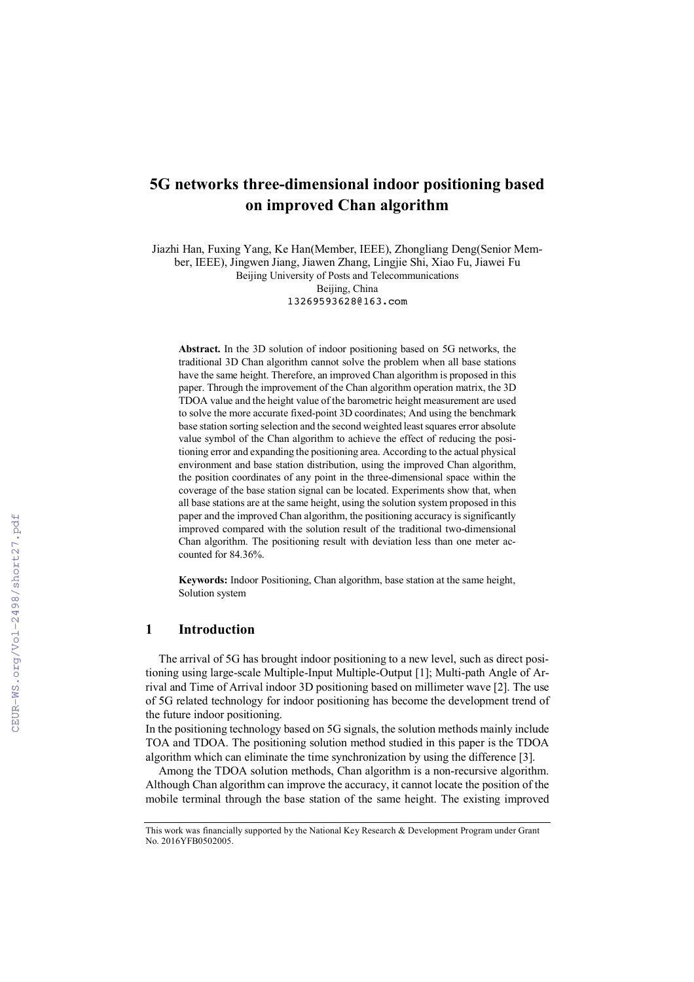# **5G networks three-dimensional indoor positioning based on improved Chan algorithm**

Jiazhi Han, Fuxing Yang, Ke Han(Member, IEEE), Zhongliang Deng(Senior Member, IEEE), Jingwen Jiang, Jiawen Zhang, Lingjie Shi, Xiao Fu, Jiawei Fu Beijing University of Posts and Telecommunications Beijing, China 13269593628@163.com

**Abstract.** In the 3D solution of indoor positioning based on 5G networks, the traditional 3D Chan algorithm cannot solve the problem when all base stations have the same height. Therefore, an improved Chan algorithm is proposed in this paper. Through the improvement of the Chan algorithm operation matrix, the 3D TDOA value and the height value of the barometric height measurement are used to solve the more accurate fixed-point 3D coordinates; And using the benchmark base station sorting selection and the second weighted least squares error absolute value symbol of the Chan algorithm to achieve the effect of reducing the positioning error and expanding the positioning area. According to the actual physical environment and base station distribution, using the improved Chan algorithm, the position coordinates of any point in the three-dimensional space within the coverage of the base station signal can be located. Experiments show that, when all base stations are at the same height, using the solution system proposed in this paper and the improved Chan algorithm, the positioning accuracy is significantly improved compared with the solution result of the traditional two-dimensional Chan algorithm. The positioning result with deviation less than one meter accounted for 84.36%.

**Keywords:** Indoor Positioning, Chan algorithm, base station at the same height, Solution system

### **1 Introduction**

The arrival of 5G has brought indoor positioning to a new level, such as direct positioning using large-scale Multiple-Input Multiple-Output [1]; Multi-path Angle of Arrival and Time of Arrival indoor 3D positioning based on millimeter wave [2]. The use of 5G related technology for indoor positioning has become the development trend of the future indoor positioning.

In the positioning technology based on 5G signals, the solution methods mainly include TOA and TDOA. The positioning solution method studied in this paper is the TDOA algorithm which can eliminate the time synchronization by using the difference [3].

Among the TDOA solution methods, Chan algorithm is a non-recursive algorithm. Although Chan algorithm can improve the accuracy, it cannot locate the position of the mobile terminal through the base station of the same height. The existing improved

This work was financially supported by the National Key Research & Development Program under Grant No. 2016YFB0502005.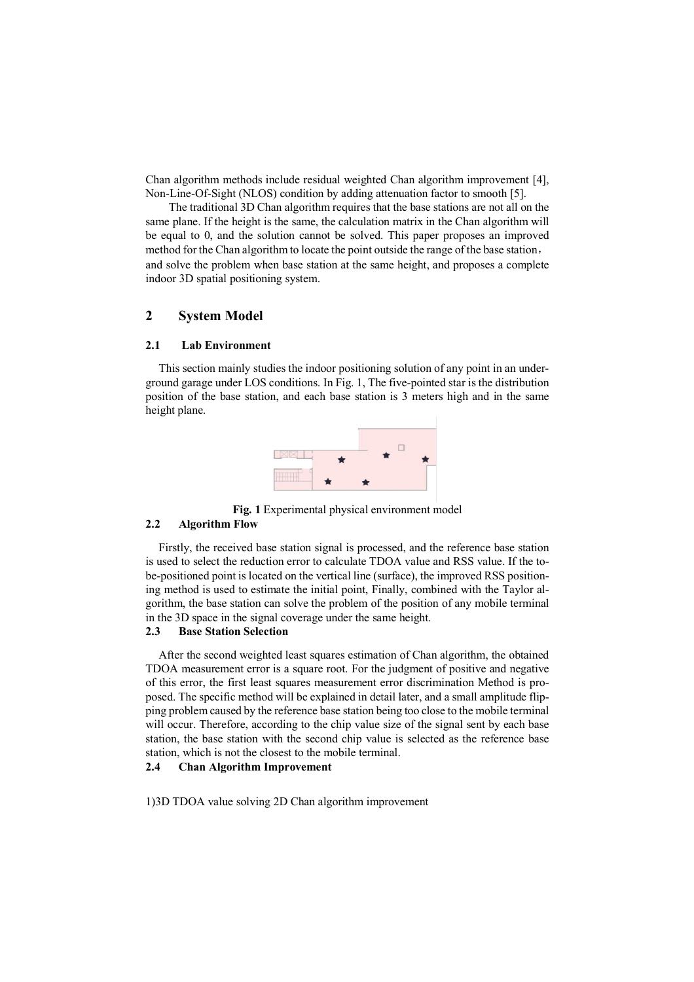Chan algorithm methods include residual weighted Chan algorithm improvement [4], Non-Line-Of-Sight (NLOS) condition by adding attenuation factor to smooth [5].

The traditional 3D Chan algorithm requires that the base stations are not all on the same plane. If the height is the same, the calculation matrix in the Chan algorithm will be equal to 0, and the solution cannot be solved. This paper proposes an improved method for the Chan algorithm to locate the point outside the range of the base station, and solve the problem when base station at the same height, and proposes a complete indoor 3D spatial positioning system.

# **2 System Model**

### **2.1 Lab Environment**

This section mainly studies the indoor positioning solution of any point in an underground garage under LOS conditions. In Fig. 1, The five-pointed star is the distribution position of the base station, and each base station is 3 meters high and in the same height plane.



**Fig. 1** Experimental physical environment model **2.2 Algorithm Flow**

Firstly, the received base station signal is processed, and the reference base station is used to select the reduction error to calculate TDOA value and RSS value. If the tobe-positioned point is located on the vertical line (surface), the improved RSS positioning method is used to estimate the initial point, Finally, combined with the Taylor algorithm, the base station can solve the problem of the position of any mobile terminal in the 3D space in the signal coverage under the same height.

## **2.3 Base Station Selection**

After the second weighted least squares estimation of Chan algorithm, the obtained TDOA measurement error is a square root. For the judgment of positive and negative of this error, the first least squares measurement error discrimination Method is proposed. The specific method will be explained in detail later, and a small amplitude flipping problem caused by the reference base station being too close to the mobile terminal will occur. Therefore, according to the chip value size of the signal sent by each base station, the base station with the second chip value is selected as the reference base station, which is not the closest to the mobile terminal.

### **2.4 Chan Algorithm Improvement**

1)3D TDOA value solving 2D Chan algorithm improvement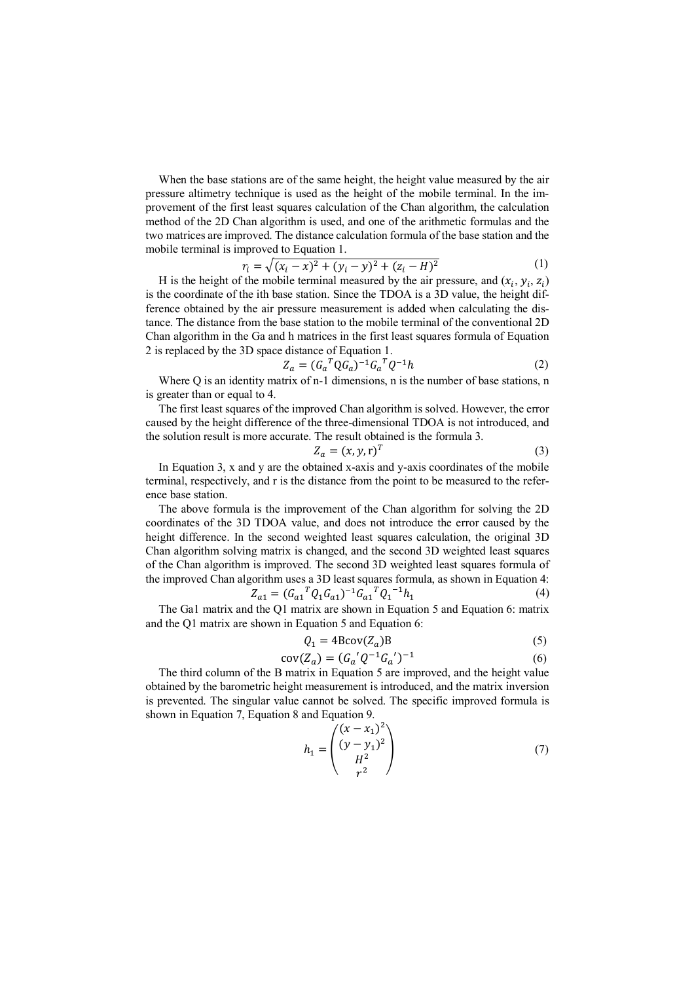When the base stations are of the same height, the height value measured by the air pressure altimetry technique is used as the height of the mobile terminal. In the improvement of the first least squares calculation of the Chan algorithm, the calculation method of the 2D Chan algorithm is used, and one of the arithmetic formulas and the two matrices are improved. The distance calculation formula of the base station and the mobile terminal is improved to Equation 1.

$$
r_i = \sqrt{(x_i - x)^2 + (y_i - y)^2 + (z_i - H)^2}
$$
 (1)

H is the height of the mobile terminal measured by the air pressure, and  $(x_i, y_i, z_i)$ is the coordinate of the ith base station. Since the TDOA is a 3D value, the height difference obtained by the air pressure measurement is added when calculating the distance. The distance from the base station to the mobile terminal of the conventional 2D Chan algorithm in the Ga and h matrices in the first least squares formula of Equation 2 is replaced by the 3D space distance of Equation 1.

$$
Z_a = (G_a^T Q G_a)^{-1} G_a^T Q^{-1} h \tag{2}
$$

Where Q is an identity matrix of n-1 dimensions, n is the number of base stations, n is greater than or equal to 4.

The first least squares of the improved Chan algorithm is solved. However, the error caused by the height difference of the three-dimensional TDOA is not introduced, and the solution result is more accurate. The result obtained is the formula 3.

$$
Z_a = (x, y, r)^T \tag{3}
$$

In Equation 3, x and y are the obtained x-axis and y-axis coordinates of the mobile terminal, respectively, and r is the distance from the point to be measured to the reference base station.

The above formula is the improvement of the Chan algorithm for solving the 2D coordinates of the 3D TDOA value, and does not introduce the error caused by the height difference. In the second weighted least squares calculation, the original 3D Chan algorithm solving matrix is changed, and the second 3D weighted least squares of the Chan algorithm is improved. The second 3D weighted least squares formula of the improved Chan algorithm uses a 3D least squares formula, as shown in Equation 4:

$$
Z_{a1} = (G_{a1}{}^T Q_1 G_{a1})^{-1} G_{a1}{}^T Q_1{}^{-1} h_1
$$
\n(4)

The Ga1 matrix and the Q1 matrix are shown in Equation 5 and Equation 6: matrix and the Q1 matrix are shown in Equation 5 and Equation 6:

$$
Q_1 = 4\text{Bcov}(Z_a)B\tag{5}
$$

$$
cov(Z_a) = (G_a' Q^{-1} G_a')^{-1}
$$
 (6)

The third column of the B matrix in Equation 5 are improved, and the height value obtained by the barometric height measurement is introduced, and the matrix inversion is prevented. The singular value cannot be solved. The specific improved formula is shown in Equation 7, Equation 8 and Equation 9.

$$
h_1 = \begin{pmatrix} (x - x_1)^2 \\ (y - y_1)^2 \\ H^2 \\ r^2 \end{pmatrix}
$$
 (7)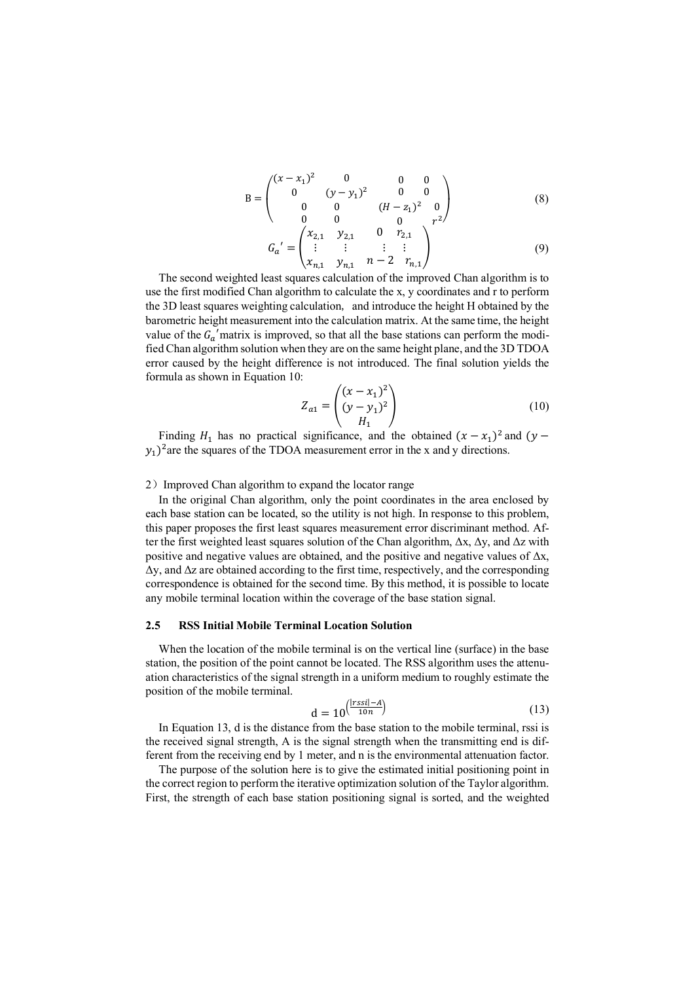$$
B = \begin{pmatrix} (x - x_1)^2 & 0 & 0 & 0 \\ 0 & (y - y_1)^2 & 0 & 0 \\ 0 & 0 & (H - z_1)^2 & 0 \end{pmatrix}
$$
 (8)

$$
\begin{aligned}\n &\left( \begin{array}{cccc} 0 & 0 & 0 & r^{2} \\
&\vdots & \vdots & \vdots \\
&\ddots & \vdots & \vdots \\
&\ddots & \ddots & \vdots \\
&\ddots & \ddots & \ddots \\
&\ddots & \ddots & \ddots \\
&\ddots & \ddots & \ddots & \ddots\n \end{array} \right)^{r^{2}}\n \end{aligned}\n \tag{9}
$$

The second weighted least squares calculation of the improved Chan algorithm is to use the first modified Chan algorithm to calculate the x, y coordinates and r to perform the 3D least squares weighting calculation, and introduce the height H obtained by the barometric height measurement into the calculation matrix. At the same time, the height value of the  $G_{\alpha}$ ' matrix is improved, so that all the base stations can perform the modified Chan algorithm solution when they are on the same height plane, and the 3D TDOA error caused by the height difference is not introduced. The final solution yields the formula as shown in Equation 10:

$$
Z_{a1} = \begin{pmatrix} (x - x_1)^2 \\ (y - y_1)^2 \\ H_1 \end{pmatrix}
$$
 (10)

Finding  $H_1$  has no practical significance, and the obtained  $(x - x_1)^2$  and  $(y (y_1)^2$  are the squares of the TDOA measurement error in the x and y directions.

#### 2) Improved Chan algorithm to expand the locator range

In the original Chan algorithm, only the point coordinates in the area enclosed by each base station can be located, so the utility is not high. In response to this problem, this paper proposes the first least squares measurement error discriminant method. After the first weighted least squares solution of the Chan algorithm,  $\Delta x$ ,  $\Delta y$ , and  $\Delta z$  with positive and negative values are obtained, and the positive and negative values of  $\Delta x$ ,  $\Delta y$ , and  $\Delta z$  are obtained according to the first time, respectively, and the corresponding correspondence is obtained for the second time. By this method, it is possible to locate any mobile terminal location within the coverage of the base station signal.

### **2.5 RSS Initial Mobile Terminal Location Solution**

When the location of the mobile terminal is on the vertical line (surface) in the base station, the position of the point cannot be located. The RSS algorithm uses the attenuation characteristics of the signal strength in a uniform medium to roughly estimate the position of the mobile terminal.

$$
d = 10^{\left(\frac{|r s s i| - A}{10n}\right)}\tag{13}
$$

In Equation 13, d is the distance from the base station to the mobile terminal, rssi is the received signal strength, A is the signal strength when the transmitting end is different from the receiving end by 1 meter, and n is the environmental attenuation factor.

The purpose of the solution here is to give the estimated initial positioning point in the correct region to perform the iterative optimization solution of the Taylor algorithm. First, the strength of each base station positioning signal is sorted, and the weighted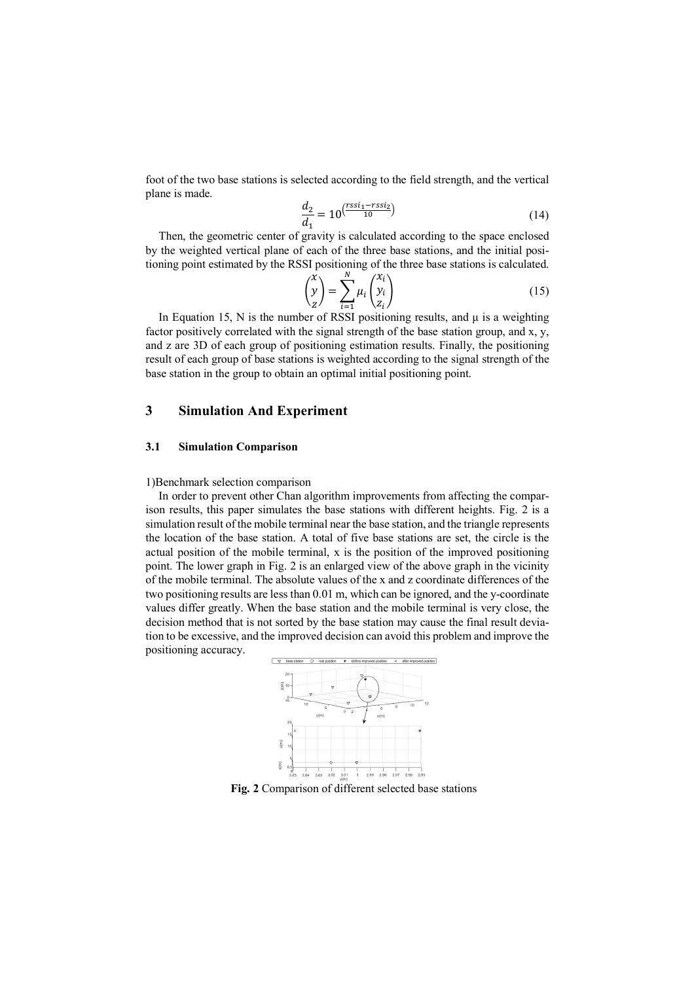foot of the two base stations is selected according to the field strength, and the vertical plane is made.

$$
\frac{d_2}{d_1} = 10^{\left(\frac{r s s i_1 - r s s i_2}{10}\right)}\tag{14}
$$

Then, the geometric center of gravity is calculated according to the space enclosed by the weighted vertical plane of each of the three base stations, and the initial positioning point estimated by the RSSI positioning of the three base stations is calculated.

$$
\begin{pmatrix} x \\ y \\ z \end{pmatrix} = \sum_{i=1}^{N} \mu_i \begin{pmatrix} x_i \\ y_i \\ z_i \end{pmatrix}
$$
 (15)

In Equation 15, N is the number of RSSI positioning results, and  $\mu$  is a weighting factor positively correlated with the signal strength of the base station group, and x, y, and z are 3D of each group of positioning estimation results. Finally, the positioning result of each group of base stations is weighted according to the signal strength of the base station in the group to obtain an optimal initial positioning point.

# **3 Simulation And Experiment**

### **3.1 Simulation Comparison**

#### 1)Benchmark selection comparison

In order to prevent other Chan algorithm improvements from affecting the comparison results, this paper simulates the base stations with different heights. Fig. 2 is a simulation result of the mobile terminal near the base station, and the triangle represents the location of the base station. A total of five base stations are set, the circle is the actual position of the mobile terminal, x is the position of the improved positioning point. The lower graph in Fig. 2 is an enlarged view of the above graph in the vicinity of the mobile terminal. The absolute values of the x and z coordinate differences of the two positioning results are less than 0.01 m, which can be ignored, and the y-coordinate values differ greatly. When the base station and the mobile terminal is very close, the decision method that is not sorted by the base station may cause the final result deviation to be excessive, and the improved decision can avoid this problem and improve the positioning accuracy.



**Fig. 2** Comparison of different selected base stations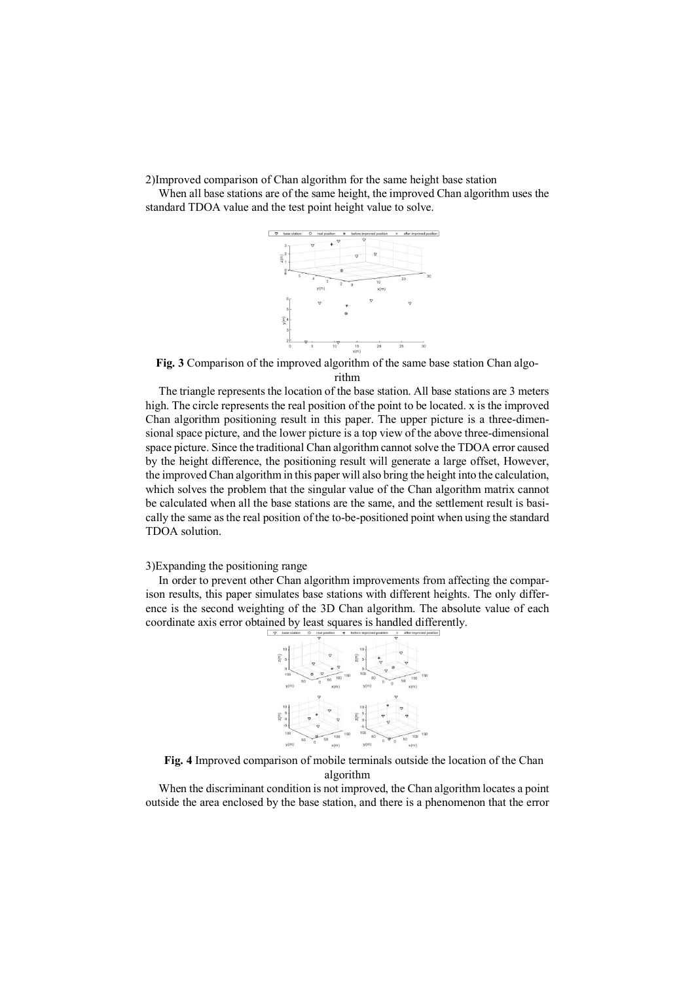2)Improved comparison of Chan algorithm for the same height base station

When all base stations are of the same height, the improved Chan algorithm uses the standard TDOA value and the test point height value to solve.



**Fig. 3** Comparison of the improved algorithm of the same base station Chan algo-

rithm

The triangle represents the location of the base station. All base stations are 3 meters high. The circle represents the real position of the point to be located. x is the improved Chan algorithm positioning result in this paper. The upper picture is a three-dimensional space picture, and the lower picture is a top view of the above three-dimensional space picture. Since the traditional Chan algorithm cannot solve the TDOA error caused by the height difference, the positioning result will generate a large offset, However, the improved Chan algorithm in this paper will also bring the height into the calculation, which solves the problem that the singular value of the Chan algorithm matrix cannot be calculated when all the base stations are the same, and the settlement result is basically the same as the real position of the to-be-positioned point when using the standard TDOA solution.

### 3)Expanding the positioning range

In order to prevent other Chan algorithm improvements from affecting the comparison results, this paper simulates base stations with different heights. The only difference is the second weighting of the 3D Chan algorithm. The absolute value of each coordinate axis error obtained by least squares is handled differently.



**Fig. 4** Improved comparison of mobile terminals outside the location of the Chan algorithm

When the discriminant condition is not improved, the Chan algorithm locates a point outside the area enclosed by the base station, and there is a phenomenon that the error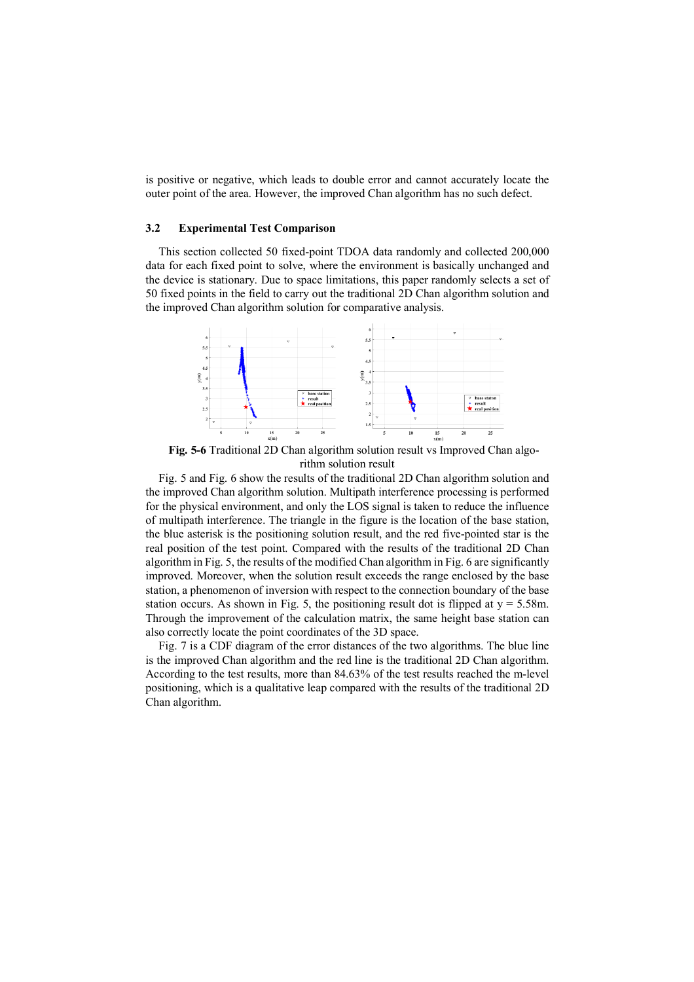is positive or negative, which leads to double error and cannot accurately locate the outer point of the area. However, the improved Chan algorithm has no such defect.

#### **3.2 Experimental Test Comparison**

This section collected 50 fixed-point TDOA data randomly and collected 200,000 data for each fixed point to solve, where the environment is basically unchanged and the device is stationary. Due to space limitations, this paper randomly selects a set of 50 fixed points in the field to carry out the traditional 2D Chan algorithm solution and the improved Chan algorithm solution for comparative analysis.



**Fig. 5-6** Traditional 2D Chan algorithm solution result vs Improved Chan algorithm solution result

Fig. 5 and Fig. 6 show the results of the traditional 2D Chan algorithm solution and the improved Chan algorithm solution. Multipath interference processing is performed for the physical environment, and only the LOS signal is taken to reduce the influence of multipath interference. The triangle in the figure is the location of the base station, the blue asterisk is the positioning solution result, and the red five-pointed star is the real position of the test point. Compared with the results of the traditional 2D Chan algorithm in Fig. 5, the results of the modified Chan algorithm in Fig. 6 are significantly improved. Moreover, when the solution result exceeds the range enclosed by the base station, a phenomenon of inversion with respect to the connection boundary of the base station occurs. As shown in Fig. 5, the positioning result dot is flipped at  $y = 5.58$ m. Through the improvement of the calculation matrix, the same height base station can also correctly locate the point coordinates of the 3D space.

Fig. 7 is a CDF diagram of the error distances of the two algorithms. The blue line is the improved Chan algorithm and the red line is the traditional 2D Chan algorithm. According to the test results, more than 84.63% of the test results reached the m-level positioning, which is a qualitative leap compared with the results of the traditional 2D Chan algorithm.